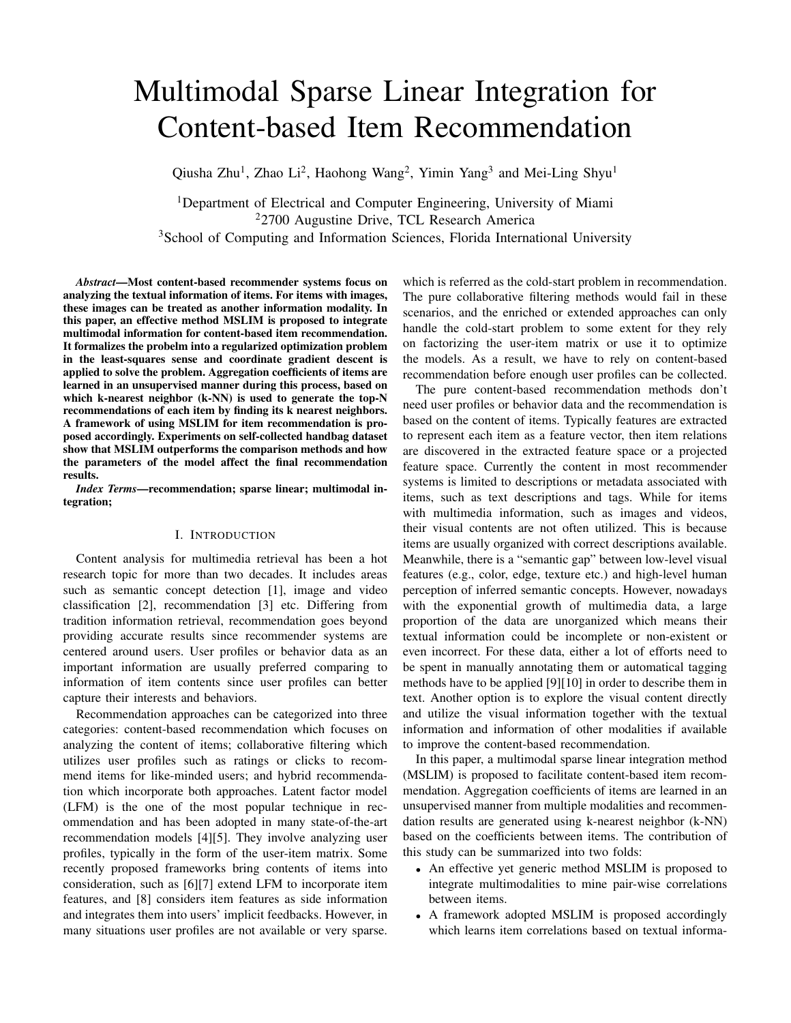# Multimodal Sparse Linear Integration for Content-based Item Recommendation

Qiusha Zhu<sup>1</sup>, Zhao Li<sup>2</sup>, Haohong Wang<sup>2</sup>, Yimin Yang<sup>3</sup> and Mei-Ling Shyu<sup>1</sup>

<sup>1</sup>Department of Electrical and Computer Engineering, University of Miami <sup>2</sup>2700 Augustine Drive, TCL Research America <sup>3</sup>School of Computing and Information Sciences, Florida International University

*Abstract*—Most content-based recommender systems focus on analyzing the textual information of items. For items with images, these images can be treated as another information modality. In this paper, an effective method MSLIM is proposed to integrate multimodal information for content-based item recommendation. It formalizes the probelm into a regularized optimization problem in the least-squares sense and coordinate gradient descent is applied to solve the problem. Aggregation coefficients of items are learned in an unsupervised manner during this process, based on which k-nearest neighbor (k-NN) is used to generate the top-N recommendations of each item by finding its k nearest neighbors. A framework of using MSLIM for item recommendation is proposed accordingly. Experiments on self-collected handbag dataset show that MSLIM outperforms the comparison methods and how the parameters of the model affect the final recommendation results.

*Index Terms*—recommendation; sparse linear; multimodal integration;

#### I. INTRODUCTION

Content analysis for multimedia retrieval has been a hot research topic for more than two decades. It includes areas such as semantic concept detection [1], image and video classification [2], recommendation [3] etc. Differing from tradition information retrieval, recommendation goes beyond providing accurate results since recommender systems are centered around users. User profiles or behavior data as an important information are usually preferred comparing to information of item contents since user profiles can better capture their interests and behaviors.

Recommendation approaches can be categorized into three categories: content-based recommendation which focuses on analyzing the content of items; collaborative filtering which utilizes user profiles such as ratings or clicks to recommend items for like-minded users; and hybrid recommendation which incorporate both approaches. Latent factor model (LFM) is the one of the most popular technique in recommendation and has been adopted in many state-of-the-art recommendation models [4][5]. They involve analyzing user profiles, typically in the form of the user-item matrix. Some recently proposed frameworks bring contents of items into consideration, such as [6][7] extend LFM to incorporate item features, and [8] considers item features as side information and integrates them into users' implicit feedbacks. However, in many situations user profiles are not available or very sparse.

which is referred as the cold-start problem in recommendation. The pure collaborative filtering methods would fail in these scenarios, and the enriched or extended approaches can only handle the cold-start problem to some extent for they rely on factorizing the user-item matrix or use it to optimize the models. As a result, we have to rely on content-based recommendation before enough user profiles can be collected.

The pure content-based recommendation methods don't need user profiles or behavior data and the recommendation is based on the content of items. Typically features are extracted to represent each item as a feature vector, then item relations are discovered in the extracted feature space or a projected feature space. Currently the content in most recommender systems is limited to descriptions or metadata associated with items, such as text descriptions and tags. While for items with multimedia information, such as images and videos, their visual contents are not often utilized. This is because items are usually organized with correct descriptions available. Meanwhile, there is a "semantic gap" between low-level visual features (e.g., color, edge, texture etc.) and high-level human perception of inferred semantic concepts. However, nowadays with the exponential growth of multimedia data, a large proportion of the data are unorganized which means their textual information could be incomplete or non-existent or even incorrect. For these data, either a lot of efforts need to be spent in manually annotating them or automatical tagging methods have to be applied [9][10] in order to describe them in text. Another option is to explore the visual content directly and utilize the visual information together with the textual information and information of other modalities if available to improve the content-based recommendation.

In this paper, a multimodal sparse linear integration method (MSLIM) is proposed to facilitate content-based item recommendation. Aggregation coefficients of items are learned in an unsupervised manner from multiple modalities and recommendation results are generated using k-nearest neighbor (k-NN) based on the coefficients between items. The contribution of this study can be summarized into two folds:

- An effective yet generic method MSLIM is proposed to integrate multimodalities to mine pair-wise correlations between items.
- A framework adopted MSLIM is proposed accordingly which learns item correlations based on textual informa-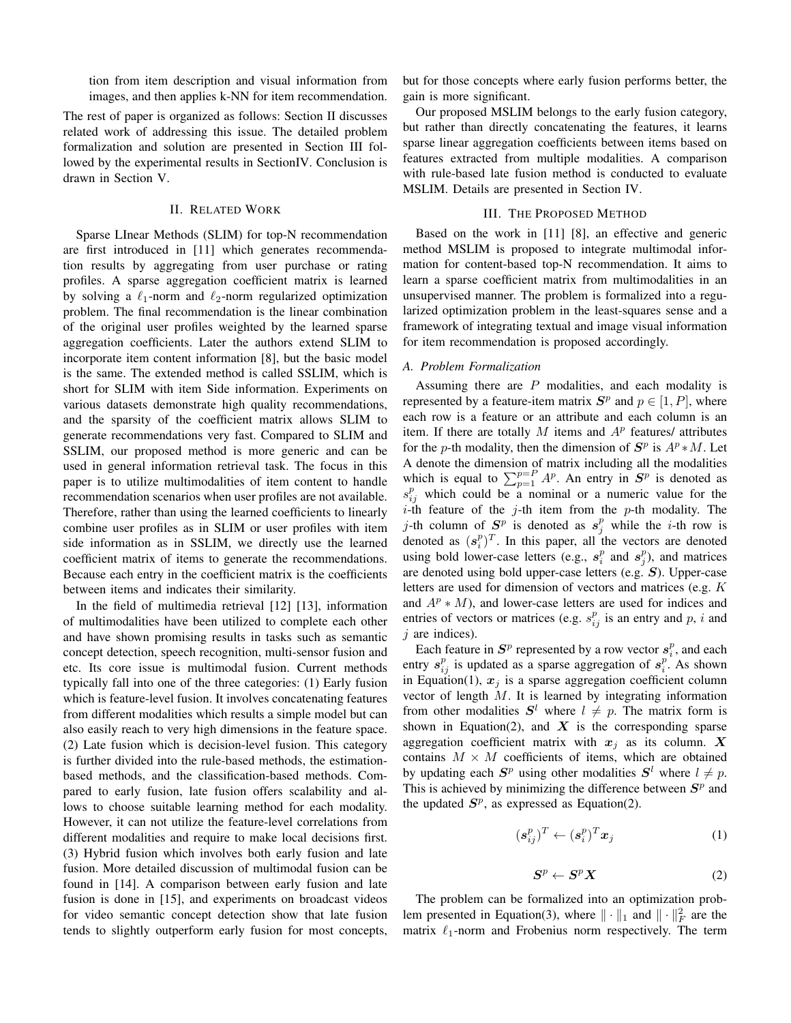tion from item description and visual information from images, and then applies k-NN for item recommendation.

The rest of paper is organized as follows: Section II discusses related work of addressing this issue. The detailed problem formalization and solution are presented in Section III followed by the experimental results in SectionIV. Conclusion is drawn in Section V.

#### II. RELATED WORK

Sparse LInear Methods (SLIM) for top-N recommendation are first introduced in [11] which generates recommendation results by aggregating from user purchase or rating profiles. A sparse aggregation coefficient matrix is learned by solving a  $\ell_1$ -norm and  $\ell_2$ -norm regularized optimization problem. The final recommendation is the linear combination of the original user profiles weighted by the learned sparse aggregation coefficients. Later the authors extend SLIM to incorporate item content information [8], but the basic model is the same. The extended method is called SSLIM, which is short for SLIM with item Side information. Experiments on various datasets demonstrate high quality recommendations, and the sparsity of the coefficient matrix allows SLIM to generate recommendations very fast. Compared to SLIM and SSLIM, our proposed method is more generic and can be used in general information retrieval task. The focus in this paper is to utilize multimodalities of item content to handle recommendation scenarios when user profiles are not available. Therefore, rather than using the learned coefficients to linearly combine user profiles as in SLIM or user profiles with item side information as in SSLIM, we directly use the learned coefficient matrix of items to generate the recommendations. Because each entry in the coefficient matrix is the coefficients between items and indicates their similarity.

In the field of multimedia retrieval [12] [13], information of multimodalities have been utilized to complete each other and have shown promising results in tasks such as semantic concept detection, speech recognition, multi-sensor fusion and etc. Its core issue is multimodal fusion. Current methods typically fall into one of the three categories: (1) Early fusion which is feature-level fusion. It involves concatenating features from different modalities which results a simple model but can also easily reach to very high dimensions in the feature space. (2) Late fusion which is decision-level fusion. This category is further divided into the rule-based methods, the estimationbased methods, and the classification-based methods. Compared to early fusion, late fusion offers scalability and allows to choose suitable learning method for each modality. However, it can not utilize the feature-level correlations from different modalities and require to make local decisions first. (3) Hybrid fusion which involves both early fusion and late fusion. More detailed discussion of multimodal fusion can be found in [14]. A comparison between early fusion and late fusion is done in [15], and experiments on broadcast videos for video semantic concept detection show that late fusion tends to slightly outperform early fusion for most concepts, but for those concepts where early fusion performs better, the gain is more significant.

Our proposed MSLIM belongs to the early fusion category, but rather than directly concatenating the features, it learns sparse linear aggregation coefficients between items based on features extracted from multiple modalities. A comparison with rule-based late fusion method is conducted to evaluate MSLIM. Details are presented in Section IV.

# III. THE PROPOSED METHOD

Based on the work in [11] [8], an effective and generic method MSLIM is proposed to integrate multimodal information for content-based top-N recommendation. It aims to learn a sparse coefficient matrix from multimodalities in an unsupervised manner. The problem is formalized into a regularized optimization problem in the least-squares sense and a framework of integrating textual and image visual information for item recommendation is proposed accordingly.

#### *A. Problem Formalization*

Assuming there are  $P$  modalities, and each modality is represented by a feature-item matrix  $S^p$  and  $p \in [1, P]$ , where each row is a feature or an attribute and each column is an item. If there are totally  $M$  items and  $A<sup>p</sup>$  features/ attributes for the p-th modality, then the dimension of  $S^p$  is  $A^p * M$ . Let A denote the dimension of matrix including all the modalities which is equal to  $\sum_{p=1}^{p=P} A^p$ . An entry in  $S^p$  is denoted as  $s_{ij}^p$  which could be a nominal or a numeric value for the *i*-th feature of the *j*-th item from the *p*-th modality. The j-th column of  $S^p$  is denoted as  $s_j^p$  while the *i*-th row is denoted as  $(s_i^p)^T$ . In this paper, all the vectors are denoted using bold lower-case letters (e.g.,  $s_i^p$  and  $s_j^p$ ), and matrices are denoted using bold upper-case letters (e.g. S). Upper-case letters are used for dimension of vectors and matrices (e.g. K and  $A^p * M$ , and lower-case letters are used for indices and entries of vectors or matrices (e.g.  $s_{ij}^p$  is an entry and p, i and  $j$  are indices).

Each feature in  $S^p$  represented by a row vector  $s_i^p$ , and each entry  $s_{ij}^p$  is updated as a sparse aggregation of  $s_i^p$ . As shown in Equation(1),  $x_j$  is a sparse aggregation coefficient column vector of length M. It is learned by integrating information from other modalities  $S^l$  where  $l \neq p$ . The matrix form is shown in Equation(2), and  $X$  is the corresponding sparse aggregation coefficient matrix with  $x_j$  as its column. X contains  $M \times M$  coefficients of items, which are obtained by updating each  $S^p$  using other modalities  $S^l$  where  $l \neq p$ . This is achieved by minimizing the difference between  $S<sup>p</sup>$  and the updated  $S<sup>p</sup>$ , as expressed as Equation(2).

$$
(\boldsymbol{s}_{ij}^p)^T \leftarrow (\boldsymbol{s}_i^p)^T \boldsymbol{x}_j \tag{1}
$$

$$
S^p \leftarrow S^p X \tag{2}
$$

The problem can be formalized into an optimization problem presented in Equation(3), where  $\|\cdot\|_1$  and  $\|\cdot\|_F^2$  are the matrix  $\ell_1$ -norm and Frobenius norm respectively. The term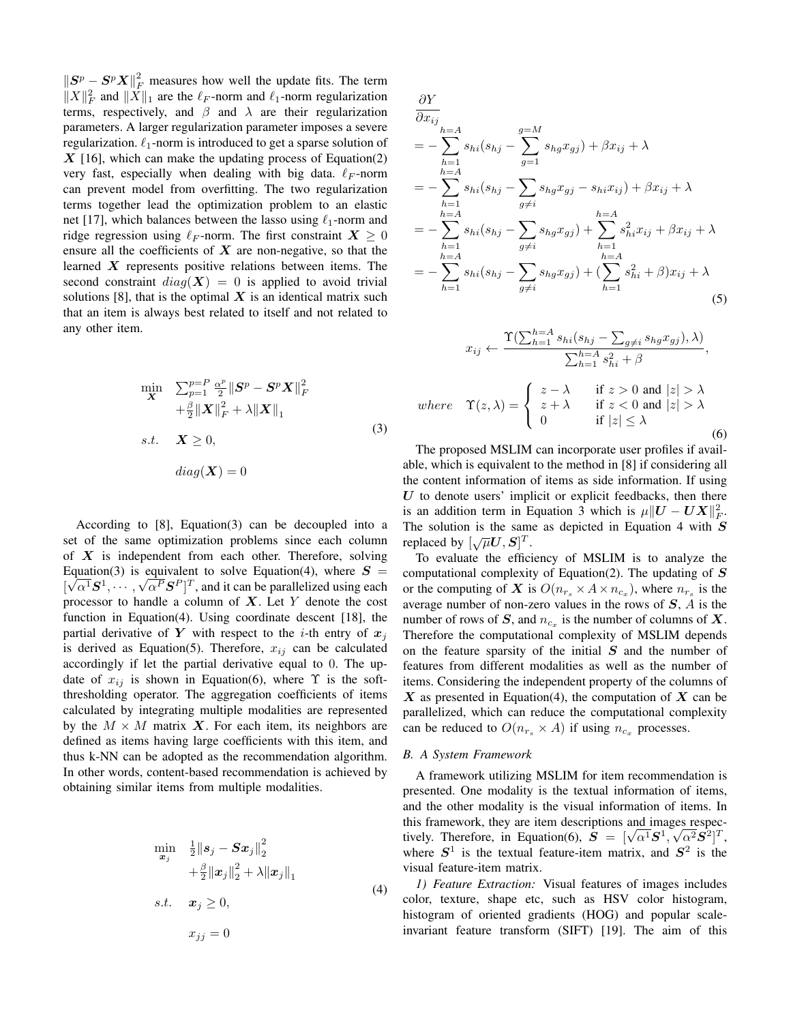$||S^p - S^p X||_F^2$  measures how well the update fits. The term  $||X||_F^2$  and  $||\overline{X}||_1$  are the  $\ell_F$ -norm and  $\ell_1$ -norm regularization terms, respectively, and  $\beta$  and  $\lambda$  are their regularization parameters. A larger regularization parameter imposes a severe regularization.  $\ell_1$ -norm is introduced to get a sparse solution of  $X$  [16], which can make the updating process of Equation(2) very fast, especially when dealing with big data.  $\ell_F$ -norm can prevent model from overfitting. The two regularization terms together lead the optimization problem to an elastic net [17], which balances between the lasso using  $\ell_1$ -norm and ridge regression using  $\ell_F$ -norm. The first constraint  $X \geq 0$ ensure all the coefficients of  $X$  are non-negative, so that the learned  $X$  represents positive relations between items. The second constraint  $diag(X) = 0$  is applied to avoid trivial solutions [8], that is the optimal  $X$  is an identical matrix such that an item is always best related to itself and not related to any other item.

$$
\min_{\mathbf{X}} \quad \sum_{p=1}^{p=P} \frac{\alpha^p}{2} \|\mathbf{S}^p - \mathbf{S}^p \mathbf{X}\|_F^2
$$
\n
$$
+ \frac{\beta}{2} \|\mathbf{X}\|_F^2 + \lambda \|\mathbf{X}\|_1
$$
\n
$$
s.t. \quad \mathbf{X} \ge 0,
$$
\n
$$
diag(\mathbf{X}) = 0
$$
\n(3)

According to [8], Equation(3) can be decoupled into a set of the same optimization problems since each column of  $X$  is independent from each other. Therefore, solving Equation(3) is equivalent to solve Equation(4), where  $S =$  $[\sqrt{\alpha^1}S^1, \cdots, \sqrt{\alpha^P}S^P]^T$ , and it can be parallelized using each processor to handle a column of  $X$ . Let Y denote the cost function in Equation(4). Using coordinate descent [18], the partial derivative of Y with respect to the *i*-th entry of  $x_j$ is derived as Equation(5). Therefore,  $x_{ij}$  can be calculated accordingly if let the partial derivative equal to 0. The update of  $x_{ij}$  is shown in Equation(6), where  $\Upsilon$  is the softthresholding operator. The aggregation coefficients of items calculated by integrating multiple modalities are represented by the  $M \times M$  matrix X. For each item, its neighbors are defined as items having large coefficients with this item, and thus k-NN can be adopted as the recommendation algorithm. In other words, content-based recommendation is achieved by obtaining similar items from multiple modalities.

$$
\min_{\mathbf{x}_j} \quad \frac{1}{2} \|s_j - S\mathbf{x}_j\|_2^2
$$
\n
$$
+ \frac{\beta}{2} \|x_j\|_2^2 + \lambda \|x_j\|_1
$$
\n
$$
s.t. \quad \mathbf{x}_j \ge 0,
$$
\n
$$
x_{jj} = 0
$$
\n
$$
(4)
$$

$$
\frac{\partial Y}{\partial x_{ij}}\n= -\sum_{h=1}^{h=A} s_{hi}(s_{hj} - \sum_{g=1}^{g=M} s_{hg}x_{gj}) + \beta x_{ij} + \lambda\n= -\sum_{h=1}^{h=A} s_{hi}(s_{hj} - \sum_{g \neq i} s_{hg}x_{gj} - s_{hi}x_{ij}) + \beta x_{ij} + \lambda\n= -\sum_{h=1}^{h=A} s_{hi}(s_{hj} - \sum_{g \neq i} s_{hg}x_{gj}) + \sum_{h=1}^{h=A} s_{hi}^2x_{ij} + \beta x_{ij} + \lambda\n= -\sum_{h=1}^{h=A} s_{hi}(s_{hj} - \sum_{g \neq i} s_{hg}x_{gj}) + (\sum_{h=1}^{h=A} s_{hi}^2 + \beta)x_{ij} + \lambda\n(5)
$$

$$
x_{ij} \leftarrow \frac{\Upsilon(\sum_{h=1}^{h=A} s_{hi}(s_{hj} - \sum_{g\neq i} s_{hg} x_{gj}), \lambda)}{\sum_{h=1}^{h=A} s_{hi}^2 + \beta},
$$
  
where  $\Upsilon(z, \lambda) = \begin{cases} z - \lambda & \text{if } z > 0 \text{ and } |z| > \lambda \\ z + \lambda & \text{if } z < 0 \text{ and } |z| > \lambda \\ 0 & \text{if } |z| \le \lambda \end{cases}$  (6)  
The proposed MSI M can incorporate user profiles if avail

The proposed MSLIM can incorporate user profiles if available, which is equivalent to the method in [8] if considering all the content information of items as side information. If using  $U$  to denote users' implicit or explicit feedbacks, then there is an addition term in Equation 3 which is  $\mu \| \boldsymbol{U} - \boldsymbol{U} \boldsymbol{X} \|_F^2$ . The solution is the same as depicted in Equation 4 with  $S$ rne solution is the same<br>replaced by  $[\sqrt{\mu}U, S]^T$ .

To evaluate the efficiency of MSLIM is to analyze the computational complexity of Equation(2). The updating of  $S$ or the computing of X is  $O(n_{r_s} \times A \times n_{c_x})$ , where  $n_{r_s}$  is the average number of non-zero values in the rows of S, A is the number of rows of S, and  $n_{c_x}$  is the number of columns of X. Therefore the computational complexity of MSLIM depends on the feature sparsity of the initial  $S$  and the number of features from different modalities as well as the number of items. Considering the independent property of the columns of  $X$  as presented in Equation(4), the computation of  $X$  can be parallelized, which can reduce the computational complexity can be reduced to  $O(n_{r_s} \times A)$  if using  $n_{c_x}$  processes.

# *B. A System Framework*

A framework utilizing MSLIM for item recommendation is presented. One modality is the textual information of items, and the other modality is the visual information of items. In this framework, they are item descriptions and images respecthis framework, they are item descriptions and images respectively. Therefore, in Equation(6),  $S = [\sqrt{\alpha^1}S^1, \sqrt{\alpha^2}S^2]^T$ , where  $S^1$  is the textual feature-item matrix, and  $S^2$  is the visual feature-item matrix.

*1) Feature Extraction:* Visual features of images includes color, texture, shape etc, such as HSV color histogram, histogram of oriented gradients (HOG) and popular scaleinvariant feature transform (SIFT) [19]. The aim of this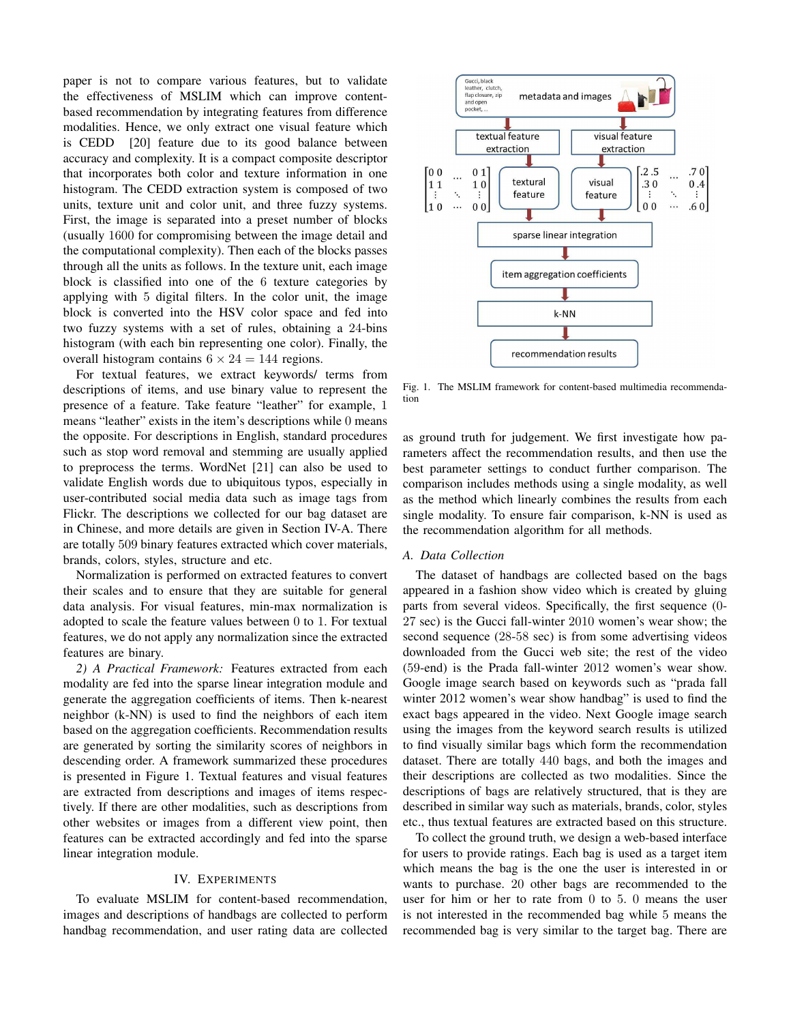paper is not to compare various features, but to validate the effectiveness of MSLIM which can improve contentbased recommendation by integrating features from difference modalities. Hence, we only extract one visual feature which is CEDD [20] feature due to its good balance between accuracy and complexity. It is a compact composite descriptor that incorporates both color and texture information in one histogram. The CEDD extraction system is composed of two units, texture unit and color unit, and three fuzzy systems. First, the image is separated into a preset number of blocks (usually 1600 for compromising between the image detail and the computational complexity). Then each of the blocks passes through all the units as follows. In the texture unit, each image block is classified into one of the 6 texture categories by applying with 5 digital filters. In the color unit, the image block is converted into the HSV color space and fed into two fuzzy systems with a set of rules, obtaining a 24-bins histogram (with each bin representing one color). Finally, the overall histogram contains  $6 \times 24 = 144$  regions.

For textual features, we extract keywords/ terms from descriptions of items, and use binary value to represent the presence of a feature. Take feature "leather" for example, 1 means "leather" exists in the item's descriptions while 0 means the opposite. For descriptions in English, standard procedures such as stop word removal and stemming are usually applied to preprocess the terms. WordNet [21] can also be used to validate English words due to ubiquitous typos, especially in user-contributed social media data such as image tags from Flickr. The descriptions we collected for our bag dataset are in Chinese, and more details are given in Section IV-A. There are totally 509 binary features extracted which cover materials, brands, colors, styles, structure and etc.

Normalization is performed on extracted features to convert their scales and to ensure that they are suitable for general data analysis. For visual features, min-max normalization is adopted to scale the feature values between 0 to 1. For textual features, we do not apply any normalization since the extracted features are binary.

*2) A Practical Framework:* Features extracted from each modality are fed into the sparse linear integration module and generate the aggregation coefficients of items. Then k-nearest neighbor (k-NN) is used to find the neighbors of each item based on the aggregation coefficients. Recommendation results are generated by sorting the similarity scores of neighbors in descending order. A framework summarized these procedures is presented in Figure 1. Textual features and visual features are extracted from descriptions and images of items respectively. If there are other modalities, such as descriptions from other websites or images from a different view point, then features can be extracted accordingly and fed into the sparse linear integration module.

#### IV. EXPERIMENTS

To evaluate MSLIM for content-based recommendation, images and descriptions of handbags are collected to perform handbag recommendation, and user rating data are collected



Fig. 1. The MSLIM framework for content-based multimedia recommendation

as ground truth for judgement. We first investigate how parameters affect the recommendation results, and then use the best parameter settings to conduct further comparison. The comparison includes methods using a single modality, as well as the method which linearly combines the results from each single modality. To ensure fair comparison, k-NN is used as the recommendation algorithm for all methods.

### *A. Data Collection*

The dataset of handbags are collected based on the bags appeared in a fashion show video which is created by gluing parts from several videos. Specifically, the first sequence (0- 27 sec) is the Gucci fall-winter 2010 women's wear show; the second sequence (28-58 sec) is from some advertising videos downloaded from the Gucci web site; the rest of the video (59-end) is the Prada fall-winter 2012 women's wear show. Google image search based on keywords such as "prada fall winter 2012 women's wear show handbag" is used to find the exact bags appeared in the video. Next Google image search using the images from the keyword search results is utilized to find visually similar bags which form the recommendation dataset. There are totally 440 bags, and both the images and their descriptions are collected as two modalities. Since the descriptions of bags are relatively structured, that is they are described in similar way such as materials, brands, color, styles etc., thus textual features are extracted based on this structure.

To collect the ground truth, we design a web-based interface for users to provide ratings. Each bag is used as a target item which means the bag is the one the user is interested in or wants to purchase. 20 other bags are recommended to the user for him or her to rate from 0 to 5. 0 means the user is not interested in the recommended bag while 5 means the recommended bag is very similar to the target bag. There are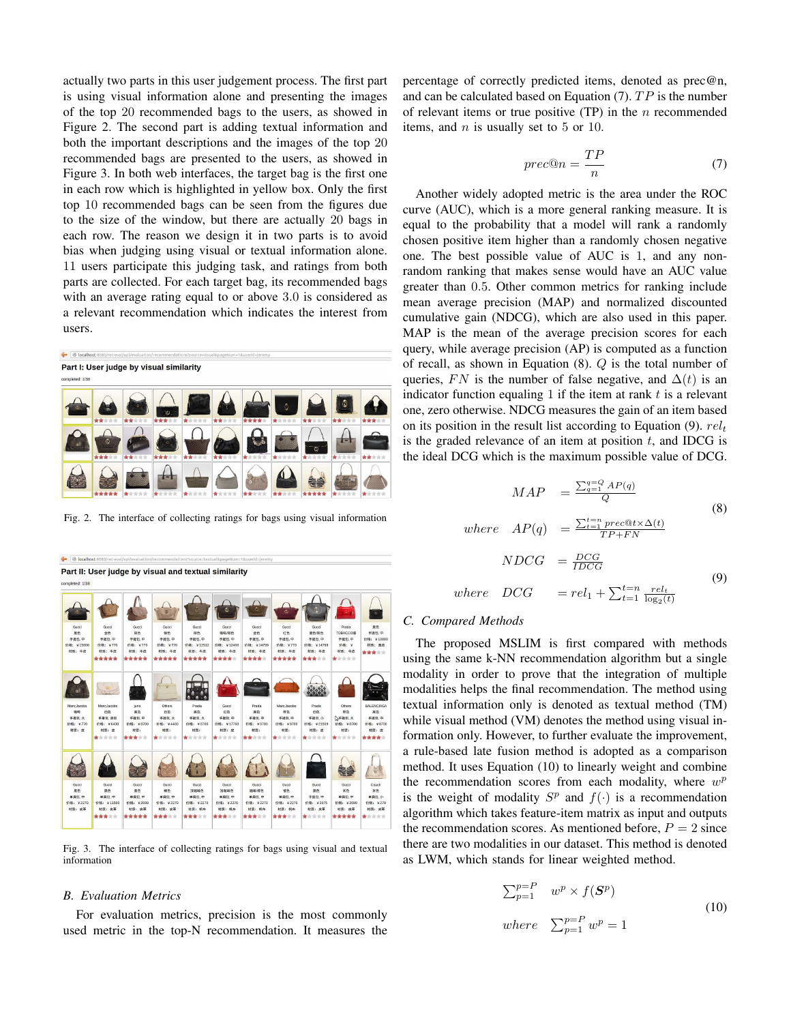actually two parts in this user judgement process. The first part is using visual information alone and presenting the images of the top 20 recommended bags to the users, as showed in Figure 2. The second part is adding textual information and both the important descriptions and the images of the top 20 recommended bags are presented to the users, as showed in Figure 3. In both web interfaces, the target bag is the first one in each row which is highlighted in yellow box. Only the first top 10 recommended bags can be seen from the figures due to the size of the window, but there are actually 20 bags in each row. The reason we design it in two parts is to avoid bias when judging using visual or textual information alone. 11 users participate this judging task, and ratings from both parts are collected. For each target bag, its recommended bags with an average rating equal to or above 3.0 is considered as a relevant recommendation which indicates the interest from users.



Fig. 2. The interface of collecting ratings for bags using visual information

Part II: User judge by visual and textual similarity

| completed: 1/38              |                                      |                                     |                                     |                                        |                                        |                                          |                                      |                                       |                                   |                                      |
|------------------------------|--------------------------------------|-------------------------------------|-------------------------------------|----------------------------------------|----------------------------------------|------------------------------------------|--------------------------------------|---------------------------------------|-----------------------------------|--------------------------------------|
| Gucci<br>黑色                  | Gucci<br>金色                          | Gucci<br>棕色                         | $\overline{c}$<br>Gucci<br>报色       | Gucci<br>棕色                            | ¢<br>Guoci<br>咖啡棕色                     | $\mathbf C$<br>Gucci<br>金色               | ۵<br>Gucci<br><b>ITB</b>             | Guoci<br>黑色棕色                         | Prada<br>TOBACCO濠                 | $\ddot{\circ}$<br><b>RB</b><br>手提包,中 |
| 手提包中<br>价格: ¥15600<br>材质: 牛皮 | 手提包,中<br>价格: ¥770<br>材质: 牛皮<br>***** | 手提包,中<br>价格: ¥770<br>材质:牛皮<br>***** | 手提包中<br>价格: ¥770<br>材质: 牛皮<br>***** | 手提包 中<br>价格: ¥12512<br>材质: 牛皮<br>***** | 手提包,中<br>价格: ¥12400<br>材质: 牛皮<br>***** | 手提包,中<br>th#8: ¥14799<br>材质: 牛皮<br>***** | 手提包,中<br>价格: ¥770<br>材质: 牛皮<br>***** | 手提包,中<br>价格: ¥14799<br>材质:牛皮<br>***** | 手提包 中<br>价格: ¥<br>材质: 牛皮<br>***** | 价格: ¥10000<br>材质: 真皮<br>*****        |
|                              |                                      |                                     |                                     | e<br>$\bullet$                         |                                        |                                          |                                      |                                       |                                   |                                      |
| Marc:Jacobs<br>咖啡            | Marc:Jacobs<br><b>BB</b>             | juno<br>置色                          | Others<br>白色                        | Prada<br>混色                            | Gucci<br>红色                            | Prada.<br>里色                             | Marc:Jacobs<br>棕色                    | Prada<br>白色                           | Others<br>機色                      | BALENCIAGA<br>置色                     |
| 手提包 大                        | 手拿包,送信                               | 手提包,中                               | 手提包,大                               | 手提包,大                                  | 手提包,中                                  | 手提包 中                                    | 手提包,中                                | 手提包,小                                 | <b>入手提包 大</b>                     | 手提包 中                                |
| 价格: ¥770                     | 价格: ¥6438                            | 价格: ¥8700                           | 价格: ¥4460                           | 价格: ¥8700                              | 价格: ¥17760                             | 价格: ¥8700                                | 价格: ¥8700                            | 价格: ¥21939                            | 价格: ¥8700                         | 价格: ¥8700                            |
| 材质: 皮                        | 材质:应                                 | 材质:                                 | 材质:                                 | 材质:                                    | 材质: 皮                                  | 材质:                                      | 材质:                                  | 材质: 皮                                 | 材质:                               | 材质:皮                                 |
|                              | 含含含含含                                | *****                               | 青青青青青                               | 含含含含含                                  | 青青青青青                                  | 含含含含合                                    | ★含含含含                                | 青青青青青                                 | 青青青青青                             | *****                                |
|                              |                                      |                                     |                                     |                                        |                                        |                                          |                                      |                                       |                                   |                                      |
| Gucci                        | Guanti                               | Gucci                               | Guoci                               | Gund                                   | Guori                                  | Guoci                                    | Gundi                                | Guori                                 | Gunci                             | Coach                                |
| 黑色<br>单肩包 中                  | 黑色<br>单肩包,中                          | 黑色<br>单窗包 中                         | 裸色<br>单肩包中                          | 深咖啡色<br>单肩包,中                          | 浅咖啡色<br>单窗包,中                          | 咖啡棕色<br>单肩包 中                            | se.<br>单盘包中                          | 黑色<br>手提包,中                           | 米色<br>单肩包 中                       | <b>XA</b><br>单肩包,小                   |
| 价格: ¥2270                    | 价格: ¥11500                           | 价格: ¥2690                           | 价格: ¥2270                           | 价格: ¥2270                              | 价格: ¥2270                              | 价格: ¥2270                                | 价格: ¥2270                            | 价格: ¥2075                             | 价格: ¥2690                         | 价格: ¥279                             |
| 材质: 皮革                       | 材质:皮革                                | 材质:皮革                               | 材质: 皮革                              | 材质:帆布                                  | 材质:帆布                                  | 材质: 帆布                                   | 材质:帆布                                | 材质:皮革                                 | 材质: 皮革                            | 材质:皮革                                |
|                              | *****                                | *****                               | *****                               | *****                                  | *****                                  | 含含含合金                                    | *****                                | 青金金金金                                 | *****                             | 青金金金金                                |
|                              |                                      |                                     |                                     |                                        |                                        |                                          |                                      |                                       |                                   |                                      |

Fig. 3. The interface of collecting ratings for bags using visual and textual information

#### *B. Evaluation Metrics*

 $\leftarrow$   $\boxed{\oplus}$  local

For evaluation metrics, precision is the most commonly used metric in the top-N recommendation. It measures the percentage of correctly predicted items, denoted as prec@n, and can be calculated based on Equation (7).  $TP$  is the number of relevant items or true positive  $(TP)$  in the *n* recommended items, and  $n$  is usually set to 5 or 10.

$$
prec@n = \frac{TP}{n} \tag{7}
$$

Another widely adopted metric is the area under the ROC curve (AUC), which is a more general ranking measure. It is equal to the probability that a model will rank a randomly chosen positive item higher than a randomly chosen negative one. The best possible value of AUC is 1, and any nonrandom ranking that makes sense would have an AUC value greater than 0.5. Other common metrics for ranking include mean average precision (MAP) and normalized discounted cumulative gain (NDCG), which are also used in this paper. MAP is the mean of the average precision scores for each query, while average precision (AP) is computed as a function of recall, as shown in Equation  $(8)$ . Q is the total number of queries, FN is the number of false negative, and  $\Delta(t)$  is an indicator function equaling 1 if the item at rank  $t$  is a relevant one, zero otherwise. NDCG measures the gain of an item based on its position in the result list according to Equation (9).  $rel_t$ is the graded relevance of an item at position  $t$ , and IDCG is the ideal DCG which is the maximum possible value of DCG.

$$
MAP = \frac{\sum_{q=1}^{q=Q} AP(q)}{Q}
$$
\n
$$
AP(\Delta) = \sum_{t=1}^{t=n} prec@t \times \Delta(t)
$$
\n(8)

where 
$$
AP(q) = \frac{\sum_{t=1}^{t=n} prec@t \times \Delta(t)}{TP + FN}
$$
  
\n
$$
NDCG = \frac{DCG}{IDCG}
$$
\nwhere  $DCG = rel_1 + \sum_{t=1}^{t=n} \frac{rel_t}{log_2(t)}$  (9)

# *C. Compared Methods*

The proposed MSLIM is first compared with methods using the same k-NN recommendation algorithm but a single modality in order to prove that the integration of multiple modalities helps the final recommendation. The method using textual information only is denoted as textual method (TM) while visual method (VM) denotes the method using visual information only. However, to further evaluate the improvement, a rule-based late fusion method is adopted as a comparison method. It uses Equation (10) to linearly weight and combine the recommendation scores from each modality, where  $w<sup>p</sup>$ is the weight of modality  $S^p$  and  $f(\cdot)$  is a recommendation algorithm which takes feature-item matrix as input and outputs the recommendation scores. As mentioned before,  $P = 2$  since there are two modalities in our dataset. This method is denoted as LWM, which stands for linear weighted method.

$$
\sum_{p=1}^{p=P} w^p \times f(\mathbf{S}^p)
$$
  
where 
$$
\sum_{p=1}^{p=P} w^p = 1
$$
 (10)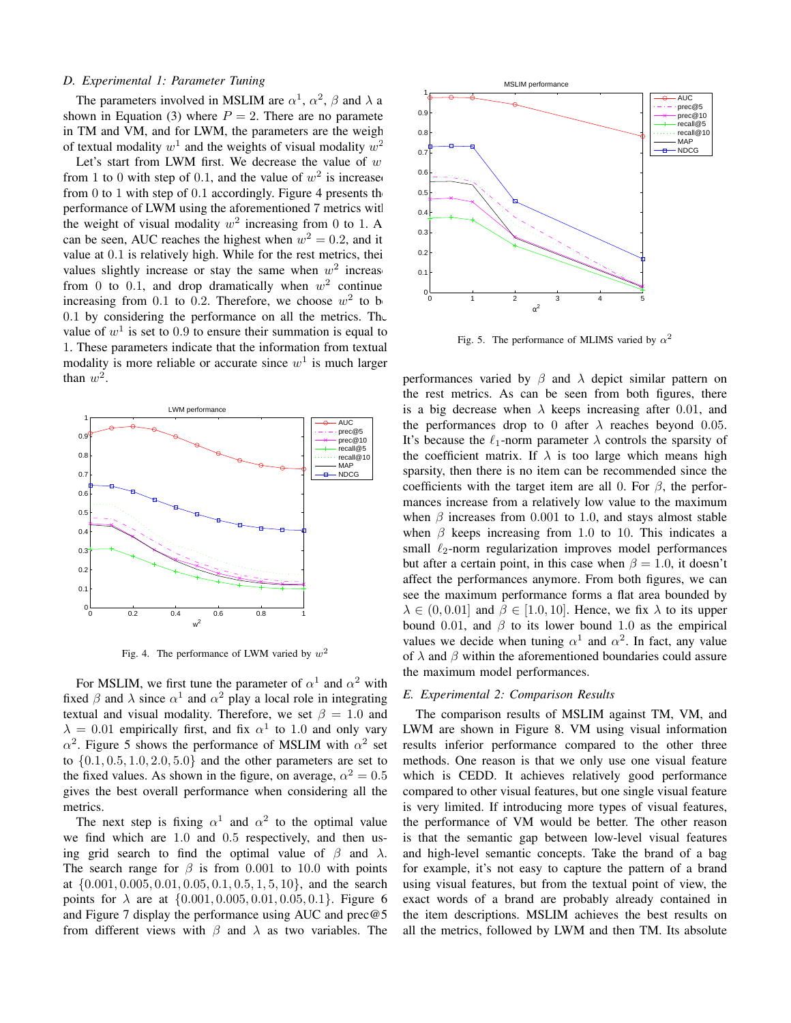# *D. Experimental 1: Parameter Tuning*

The parameters involved in MSLIM are  $\alpha^1$ ,  $\alpha^2$ ,  $\beta$  and  $\lambda$  a shown in Equation (3) where  $P = 2$ . There are no parameterin TM and VM, and for LWM, the parameters are the weight of textual modality  $w^1$  and the weights of visual modality  $w^2$ 

Let's start from LWM first. We decrease the value of  $w$ from 1 to 0 with step of 0.1, and the value of  $w^2$  is increased from 0 to 1 with step of 0.1 accordingly. Figure 4 presents the performance of LWM using the aforementioned 7 metrics with the weight of visual modality  $w^2$  increasing from 0 to 1. A can be seen, AUC reaches the highest when  $w^2 = 0.2$ , and it value at 0.1 is relatively high. While for the rest metrics, their values slightly increase or stay the same when  $w^2$  increase from 0 to 0.1, and drop dramatically when  $w^2$  continue increasing from 0.1 to 0.2. Therefore, we choose  $w^2$  to be 0.1 by considering the performance on all the metrics. The value of  $w<sup>1</sup>$  is set to 0.9 to ensure their summation is equal to 1. These parameters indicate that the information from textual modality is more reliable or accurate since  $w<sup>1</sup>$  is much larger than  $w^2$ .



Fig. 4. The performance of LWM varied by  $w^2$ 

For MSLIM, we first tune the parameter of  $\alpha^1$  and  $\alpha^2$  with fixed  $\beta$  and  $\lambda$  since  $\alpha^1$  and  $\alpha^2$  play a local role in integrating textual and visual modality. Therefore, we set  $\beta = 1.0$  and  $\lambda = 0.01$  empirically first, and fix  $\alpha^1$  to 1.0 and only vary  $\alpha^2$ . Figure 5 shows the performance of MSLIM with  $\alpha^2$  set to  $\{0.1, 0.5, 1.0, 2.0, 5.0\}$  and the other parameters are set to the fixed values. As shown in the figure, on average,  $\alpha^2 = 0.5$ gives the best overall performance when considering all the metrics.

The next step is fixing  $\alpha^1$  and  $\alpha^2$  to the optimal value we find which are 1.0 and 0.5 respectively, and then using grid search to find the optimal value of  $\beta$  and  $\lambda$ . The search range for  $\beta$  is from 0.001 to 10.0 with points at  $\{0.001, 0.005, 0.01, 0.05, 0.1, 0.5, 1, 5, 10\}$ , and the search points for  $\lambda$  are at  $\{0.001, 0.005, 0.01, 0.05, 0.1\}$ . Figure 6 and Figure 7 display the performance using AUC and prec@5 from different views with  $\beta$  and  $\lambda$  as two variables. The



Fig. 5. The performance of MLIMS varied by  $\alpha^2$ 

performances varied by  $\beta$  and  $\lambda$  depict similar pattern on the rest metrics. As can be seen from both figures, there is a big decrease when  $\lambda$  keeps increasing after 0.01, and the performances drop to 0 after  $\lambda$  reaches beyond 0.05. It's because the  $\ell_1$ -norm parameter  $\lambda$  controls the sparsity of the coefficient matrix. If  $\lambda$  is too large which means high sparsity, then there is no item can be recommended since the coefficients with the target item are all 0. For  $\beta$ , the performances increase from a relatively low value to the maximum when  $\beta$  increases from 0.001 to 1.0, and stays almost stable when  $\beta$  keeps increasing from 1.0 to 10. This indicates a small  $\ell_2$ -norm regularization improves model performances but after a certain point, in this case when  $\beta = 1.0$ , it doesn't affect the performances anymore. From both figures, we can see the maximum performance forms a flat area bounded by  $\lambda \in (0, 0.01]$  and  $\beta \in [1.0, 10]$ . Hence, we fix  $\lambda$  to its upper bound 0.01, and  $\beta$  to its lower bound 1.0 as the empirical values we decide when tuning  $\alpha^1$  and  $\alpha^2$ . In fact, any value of  $\lambda$  and  $\beta$  within the aforementioned boundaries could assure the maximum model performances.

#### *E. Experimental 2: Comparison Results*

The comparison results of MSLIM against TM, VM, and LWM are shown in Figure 8. VM using visual information results inferior performance compared to the other three methods. One reason is that we only use one visual feature which is CEDD. It achieves relatively good performance compared to other visual features, but one single visual feature is very limited. If introducing more types of visual features, the performance of VM would be better. The other reason is that the semantic gap between low-level visual features and high-level semantic concepts. Take the brand of a bag for example, it's not easy to capture the pattern of a brand using visual features, but from the textual point of view, the exact words of a brand are probably already contained in the item descriptions. MSLIM achieves the best results on all the metrics, followed by LWM and then TM. Its absolute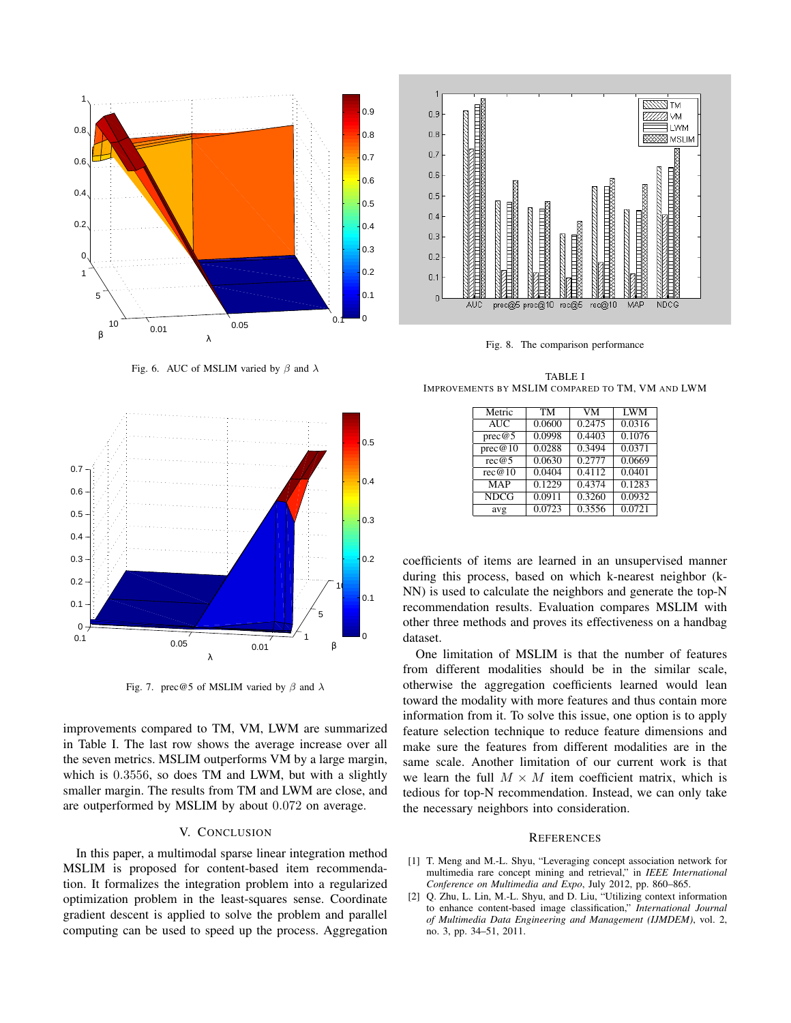

Fig. 6. AUC of MSLIM varied by  $\beta$  and  $\lambda$ 



Fig. 7. prec@5 of MSLIM varied by  $\beta$  and  $\lambda$ 

improvements compared to TM, VM, LWM are summarized in Table I. The last row shows the average increase over all the seven metrics. MSLIM outperforms VM by a large margin, which is 0.3556, so does TM and LWM, but with a slightly smaller margin. The results from TM and LWM are close, and are outperformed by MSLIM by about 0.072 on average.

# V. CONCLUSION

In this paper, a multimodal sparse linear integration method MSLIM is proposed for content-based item recommendation. It formalizes the integration problem into a regularized optimization problem in the least-squares sense. Coordinate gradient descent is applied to solve the problem and parallel computing can be used to speed up the process. Aggregation



Fig. 8. The comparison performance

TABLE I IMPROVEMENTS BY MSLIM COMPARED TO TM, VM AND LWM

| Metric      | <b>TM</b> | VM     | <b>LWM</b> |
|-------------|-----------|--------|------------|
| AUC         | 0.0600    | 0.2475 | 0.0316     |
| prec@5      | 0.0998    | 0.4403 | 0.1076     |
| prec@10     | 0.0288    | 0.3494 | 0.0371     |
| rec@5       | 0.0630    | 0.2777 | 0.0669     |
| rec@10      | 0.0404    | 0.4112 | 0.0401     |
| <b>MAP</b>  | 0.1229    | 0.4374 | 0.1283     |
| <b>NDCG</b> | 0.0911    | 0.3260 | 0.0932     |
| avg         | 0.0723    | 0.3556 | 0.0721     |

coefficients of items are learned in an unsupervised manner during this process, based on which k-nearest neighbor (k-NN) is used to calculate the neighbors and generate the top-N recommendation results. Evaluation compares MSLIM with other three methods and proves its effectiveness on a handbag dataset.

One limitation of MSLIM is that the number of features from different modalities should be in the similar scale, otherwise the aggregation coefficients learned would lean toward the modality with more features and thus contain more information from it. To solve this issue, one option is to apply feature selection technique to reduce feature dimensions and make sure the features from different modalities are in the same scale. Another limitation of our current work is that we learn the full  $M \times M$  item coefficient matrix, which is tedious for top-N recommendation. Instead, we can only take the necessary neighbors into consideration.

#### **REFERENCES**

- [1] T. Meng and M.-L. Shyu, "Leveraging concept association network for multimedia rare concept mining and retrieval," in *IEEE International Conference on Multimedia and Expo*, July 2012, pp. 860–865.
- [2] Q. Zhu, L. Lin, M.-L. Shyu, and D. Liu, "Utilizing context information to enhance content-based image classification," *International Journal of Multimedia Data Engineering and Management (IJMDEM)*, vol. 2, no. 3, pp. 34–51, 2011.